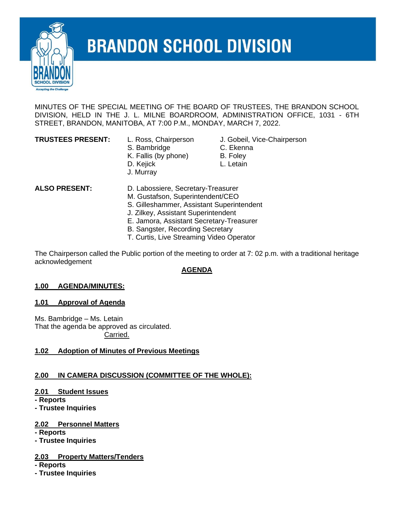

# **BRANDON SCHOOL DIVISION**

MINUTES OF THE SPECIAL MEETING OF THE BOARD OF TRUSTEES, THE BRANDON SCHOOL DIVISION, HELD IN THE J. L. MILNE BOARDROOM, ADMINISTRATION OFFICE, 1031 - 6TH STREET, BRANDON, MANITOBA, AT 7:00 P.M., MONDAY, MARCH 7, 2022.

- 
- S. Bambridge **C. Ekenna**
- K. Fallis (by phone) B. Foley
- D. Kejick **L. Letain**
- J. Murray
- **TRUSTEES PRESENT:** L. Ross, Chairperson J. Gobeil, Vice-Chairperson
	-
	-
	-
- 
- 

**ALSO PRESENT:** D. Labossiere, Secretary-Treasurer

- M. Gustafson, Superintendent/CEO
- S. Gilleshammer, Assistant Superintendent
- J. Zilkey, Assistant Superintendent
- E. Jamora, Assistant Secretary-Treasurer
- B. Sangster, Recording Secretary
- T. Curtis, Live Streaming Video Operator

The Chairperson called the Public portion of the meeting to order at 7: 02 p.m. with a traditional heritage acknowledgement

#### **AGENDA**

#### **1.00 AGENDA/MINUTES:**

#### **1.01 Approval of Agenda**

Ms. Bambridge – Ms. Letain That the agenda be approved as circulated. Carried.

#### **1.02 Adoption of Minutes of Previous Meetings**

# **2.00 IN CAMERA DISCUSSION (COMMITTEE OF THE WHOLE):**

# **2.01 Student Issues**

**- Reports**

**- Trustee Inquiries**

# **2.02 Personnel Matters**

**- Reports**

**- Trustee Inquiries**

# **2.03 Property Matters/Tenders**

**- Reports**

**- Trustee Inquiries**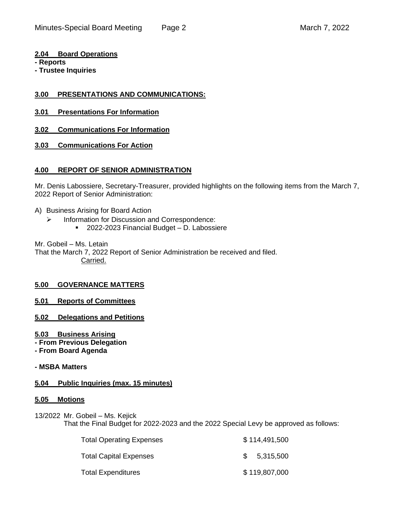**2.04 Board Operations**

**- Reports**

**- Trustee Inquiries**

#### **3.00 PRESENTATIONS AND COMMUNICATIONS:**

- **3.01 Presentations For Information**
- **3.02 Communications For Information**
- **3.03 Communications For Action**

#### **4.00 REPORT OF SENIOR ADMINISTRATION**

Mr. Denis Labossiere, Secretary-Treasurer, provided highlights on the following items from the March 7, 2022 Report of Senior Administration:

- A) Business Arising for Board Action
	- ➢ Information for Discussion and Correspondence:
		- 2022-2023 Financial Budget D. Labossiere

Mr. Gobeil – Ms. Letain

That the March 7, 2022 Report of Senior Administration be received and filed. Carried.

#### **5.00 GOVERNANCE MATTERS**

**5.01 Reports of Committees**

- **5.02 Delegations and Petitions**
- **5.03 Business Arising**
- **- From Previous Delegation**
- **- From Board Agenda**

#### **- MSBA Matters**

#### **5.04 Public Inquiries (max. 15 minutes)**

#### **5.05 Motions**

13/2022 Mr. Gobeil – Ms. Kejick That the Final Budget for 2022-2023 and the 2022 Special Levy be approved as follows:

| <b>Total Operating Expenses</b> |               | \$114,491,500 |
|---------------------------------|---------------|---------------|
| <b>Total Capital Expenses</b>   | $\mathcal{S}$ | 5,315,500     |
| <b>Total Expenditures</b>       |               | \$119,807,000 |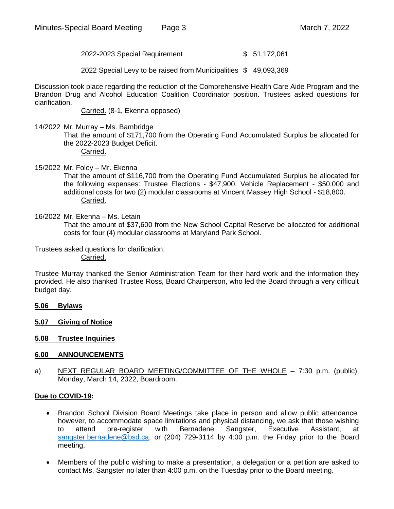2022-2023 Special Requirement \$ 51,172,061

2022 Special Levy to be raised from Municipalities \$ 49,093,369

Discussion took place regarding the reduction of the Comprehensive Health Care Aide Program and the Brandon Drug and Alcohol Education Coalition Coordinator position. Trustees asked questions for clarification.

Carried. (8-1, Ekenna opposed)

14/2022 Mr. Murray – Ms. Bambridge

That the amount of \$171,700 from the Operating Fund Accumulated Surplus be allocated for the 2022-2023 Budget Deficit. Carried.

15/2022 Mr. Foley – Mr. Ekenna That the amount of \$116,700 from the Operating Fund Accumulated Surplus be allocated for the following expenses: Trustee Elections - \$47,900, Vehicle Replacement - \$50,000 and additional costs for two (2) modular classrooms at Vincent Massey High School - \$18,800. Carried.

16/2022 Mr. Ekenna – Ms. Letain

That the amount of \$37,600 from the New School Capital Reserve be allocated for additional costs for four (4) modular classrooms at Maryland Park School.

Trustees asked questions for clarification. Carried.

Trustee Murray thanked the Senior Administration Team for their hard work and the information they provided. He also thanked Trustee Ross, Board Chairperson, who led the Board through a very difficult budget day.

- **5.06 Bylaws**
- **5.07 Giving of Notice**
- **5.08 Trustee Inquiries**

#### **6.00 ANNOUNCEMENTS**

a) NEXT REGULAR BOARD MEETING/COMMITTEE OF THE WHOLE - 7:30 p.m. (public), Monday, March 14, 2022, Boardroom.

#### **Due to COVID-19:**

- Brandon School Division Board Meetings take place in person and allow public attendance, however, to accommodate space limitations and physical distancing, we ask that those wishing to attend pre-register with Bernadene Sangster, Executive Assistant, at [sangster.bernadene@bsd.ca,](mailto:sangster.bernadene@bsd.ca) or (204) 729-3114 by 4:00 p.m. the Friday prior to the Board meeting.
- Members of the public wishing to make a presentation, a delegation or a petition are asked to contact Ms. Sangster no later than 4:00 p.m. on the Tuesday prior to the Board meeting.